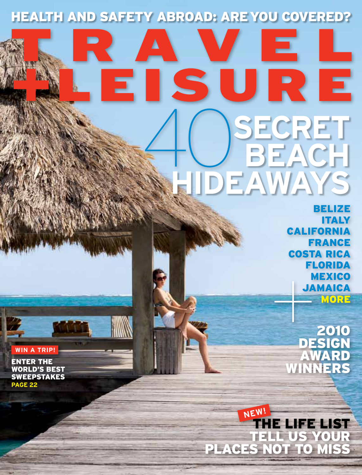# Health and Safety Abroad: Are You Covered?

# Е 40 **secret beach hideaways**

Belize Italy California France Costa Rica Florida **MEXICO JAMAICA MORE**  $\begin{array}{c}\nF1 \\
N \\
JA\n\end{array}$ 

2010 design award winners

Tell us your places not to miss the life list **new!**

**win a trip!**

Enter the world's best sweepstakes **page 22**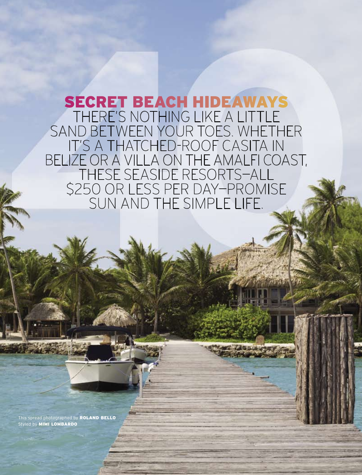# secret beach hideaways There's nothing like a little sand between your toes. Whether it's a thatched-roof casita in belize or a villa on the amalfi coast, these SEASIDE resorts—all \$250 or less per day—promise sun and the simple life.

This spread photographed by ROLAND BELLO Styled by **MIMI LOMBARDO** 

**00** m o n t h 2 0 0 8 | **t r a v e l a n d l e i s u r e . c o m**